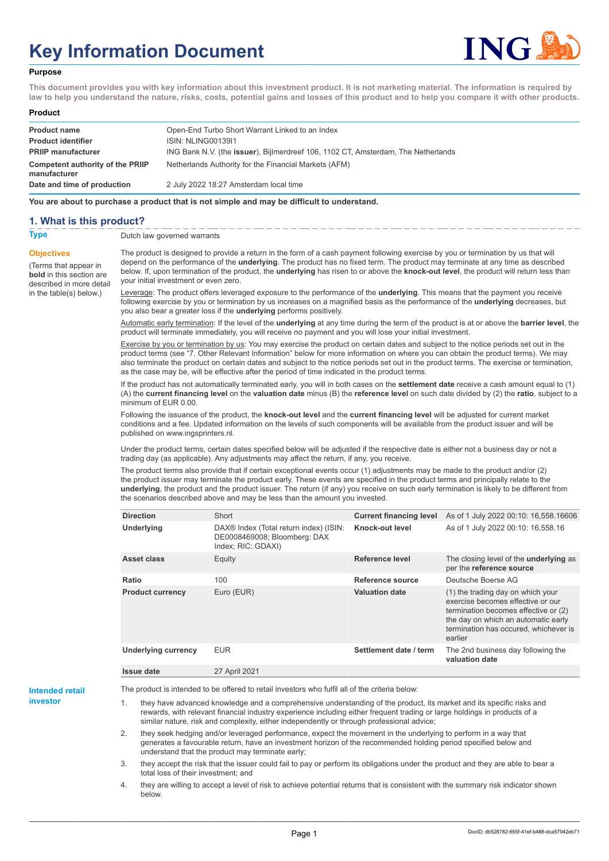# **Key Information Document**



#### **Purpose**

**This document provides you with key information about this investment product. It is not marketing material. The information is required by law to help you understand the nature, risks, costs, potential gains and losses of this product and to help you compare it with other products.**

#### **Product**

| <b>Product name</b><br><b>Product identifier</b><br><b>PRIIP manufacturer</b> | Open-End Turbo Short Warrant Linked to an Index<br><b>ISIN: NLING0013911</b><br>ING Bank N.V. (the <b>issuer</b> ), Bijlmerdreef 106, 1102 CT, Amsterdam, The Netherlands |
|-------------------------------------------------------------------------------|---------------------------------------------------------------------------------------------------------------------------------------------------------------------------|
| Competent authority of the PRIIP<br>manufacturer                              | Netherlands Authority for the Financial Markets (AFM)                                                                                                                     |
| Date and time of production                                                   | 2 July 2022 18:27 Amsterdam local time                                                                                                                                    |

**You are about to purchase a product that is not simple and may be difficult to understand.**

### **1. What is this product?**

**Objectives**

(Terms that appear in **bold** in this section are

in the table(s) below.)

**Type** Dutch law governed warrants

described in more detail The product is designed to provide a return in the form of a cash payment following exercise by you or termination by us that will depend on the performance of the **underlying**. The product has no fixed term. The product may terminate at any time as described below. If, upon termination of the product, the **underlying** has risen to or above the **knock-out level**, the product will return less than your initial investment or even zero.

> Leverage: The product offers leveraged exposure to the performance of the **underlying**. This means that the payment you receive following exercise by you or termination by us increases on a magnified basis as the performance of the **underlying** decreases, but you also bear a greater loss if the **underlying** performs positively.

Automatic early termination: If the level of the **underlying** at any time during the term of the product is at or above the **barrier level**, the product will terminate immediately, you will receive no payment and you will lose your initial investment.

Exercise by you or termination by us: You may exercise the product on certain dates and subject to the notice periods set out in the product terms (see "7. Other Relevant Information" below for more information on where you can obtain the product terms). We may also terminate the product on certain dates and subject to the notice periods set out in the product terms. The exercise or termination, as the case may be, will be effective after the period of time indicated in the product terms.

If the product has not automatically terminated early, you will in both cases on the **settlement date** receive a cash amount equal to (1) (A) the **current financing level** on the **valuation date** minus (B) the **reference level** on such date divided by (2) the **ratio**, subject to a minimum of EUR 0.00.

Following the issuance of the product, the **knock-out level** and the **current financing level** will be adjusted for current market conditions and a fee. Updated information on the levels of such components will be available from the product issuer and will be published on www.ingsprinters.nl.

Under the product terms, certain dates specified below will be adjusted if the respective date is either not a business day or not a trading day (as applicable). Any adjustments may affect the return, if any, you receive.

The product terms also provide that if certain exceptional events occur (1) adjustments may be made to the product and/or (2) the product issuer may terminate the product early. These events are specified in the product terms and principally relate to the **underlying**, the product and the product issuer. The return (if any) you receive on such early termination is likely to be different from the scenarios described above and may be less than the amount you invested.

| <b>Direction</b>           | Short                                                                                                    | <b>Current financing level</b> | As of 1 July 2022 00:10: 16,558.16606                                                                                                                                                                     |
|----------------------------|----------------------------------------------------------------------------------------------------------|--------------------------------|-----------------------------------------------------------------------------------------------------------------------------------------------------------------------------------------------------------|
| <b>Underlying</b>          | DAX <sup>®</sup> Index (Total return index) (ISIN:<br>DE0008469008; Bloomberg: DAX<br>Index; RIC: GDAXI) | Knock-out level                | As of 1 July 2022 00:10: 16,558.16                                                                                                                                                                        |
| Asset class                | Equity                                                                                                   | Reference level                | The closing level of the <b>underlying</b> as<br>per the reference source                                                                                                                                 |
| Ratio                      | 100                                                                                                      | Reference source               | Deutsche Boerse AG                                                                                                                                                                                        |
| <b>Product currency</b>    | Euro (EUR)                                                                                               | <b>Valuation date</b>          | (1) the trading day on which your<br>exercise becomes effective or our<br>termination becomes effective or (2)<br>the day on which an automatic early<br>termination has occured, whichever is<br>earlier |
| <b>Underlying currency</b> | <b>EUR</b>                                                                                               | Settlement date / term         | The 2nd business day following the<br>valuation date                                                                                                                                                      |
| <b>Issue date</b>          | 27 April 2021                                                                                            |                                |                                                                                                                                                                                                           |

**Intended retail investor**

The product is intended to be offered to retail investors who fulfil all of the criteria below:

they have advanced knowledge and a comprehensive understanding of the product, its market and its specific risks and rewards, with relevant financial industry experience including either frequent trading or large holdings in products of a similar nature, risk and complexity, either independently or through professional advice;

2. they seek hedging and/or leveraged performance, expect the movement in the underlying to perform in a way that generates a favourable return, have an investment horizon of the recommended holding period specified below and understand that the product may terminate early;

3. they accept the risk that the issuer could fail to pay or perform its obligations under the product and they are able to bear a total loss of their investment; and

4. they are willing to accept a level of risk to achieve potential returns that is consistent with the summary risk indicator shown below.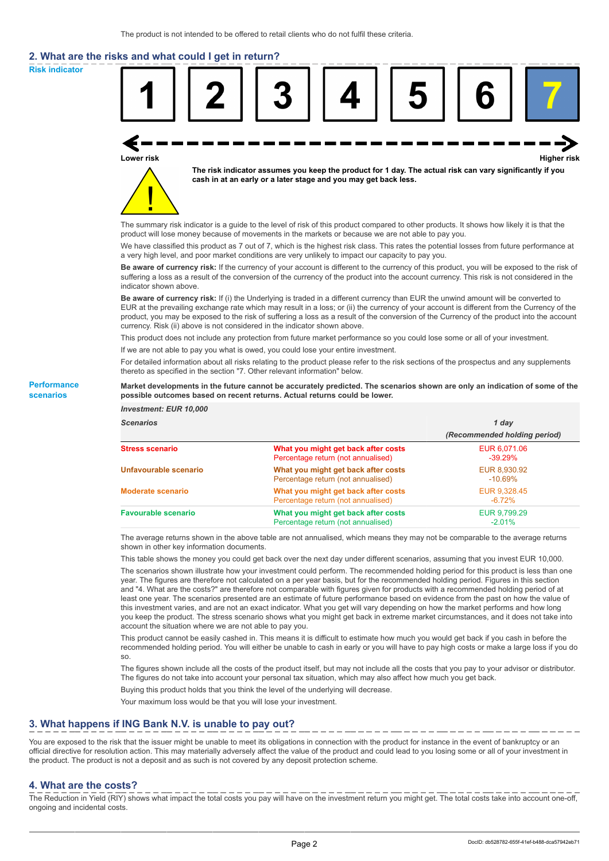# **2. What are the risks and what could I get in return?**

**Risk indicator**

**Performance scenarios**



thereto as specified in the section "7. Other relevant information" below.

#### **Market developments in the future cannot be accurately predicted. The scenarios shown are only an indication of some of the possible outcomes based on recent returns. Actual returns could be lower.**

| <b>Investment: EUR 10,000</b> |                                                                           |                              |
|-------------------------------|---------------------------------------------------------------------------|------------------------------|
| <b>Scenarios</b>              |                                                                           | 1 day                        |
|                               |                                                                           | (Recommended holding period) |
| <b>Stress scenario</b>        | What you might get back after costs<br>Percentage return (not annualised) | EUR 6.071.06<br>$-39.29%$    |
| Unfavourable scenario         | What you might get back after costs<br>Percentage return (not annualised) | EUR 8,930.92<br>$-10.69\%$   |
| <b>Moderate scenario</b>      | What you might get back after costs<br>Percentage return (not annualised) | EUR 9.328.45<br>$-6.72\%$    |
| <b>Favourable scenario</b>    | What you might get back after costs<br>Percentage return (not annualised) | EUR 9,799.29<br>$-2.01%$     |

The average returns shown in the above table are not annualised, which means they may not be comparable to the average returns shown in other key information documents.

This table shows the money you could get back over the next day under different scenarios, assuming that you invest EUR 10,000.

The scenarios shown illustrate how your investment could perform. The recommended holding period for this product is less than one year. The figures are therefore not calculated on a per year basis, but for the recommended holding period. Figures in this section and "4. What are the costs?" are therefore not comparable with figures given for products with a recommended holding period of at least one year. The scenarios presented are an estimate of future performance based on evidence from the past on how the value of this investment varies, and are not an exact indicator. What you get will vary depending on how the market performs and how long you keep the product. The stress scenario shows what you might get back in extreme market circumstances, and it does not take into account the situation where we are not able to pay you.

This product cannot be easily cashed in. This means it is difficult to estimate how much you would get back if you cash in before the recommended holding period. You will either be unable to cash in early or you will have to pay high costs or make a large loss if you do so.

The figures shown include all the costs of the product itself, but may not include all the costs that you pay to your advisor or distributor. The figures do not take into account your personal tax situation, which may also affect how much you get back.

Buying this product holds that you think the level of the underlying will decrease.

Your maximum loss would be that you will lose your investment.

## **3. What happens if ING Bank N.V. is unable to pay out?**

You are exposed to the risk that the issuer might be unable to meet its obligations in connection with the product for instance in the event of bankruptcy or an official directive for resolution action. This may materially adversely affect the value of the product and could lead to you losing some or all of your investment in the product. The product is not a deposit and as such is not covered by any deposit protection scheme.

### **4. What are the costs?**

The Reduction in Yield (RIY) shows what impact the total costs you pay will have on the investment return you might get. The total costs take into account one-off, ongoing and incidental costs.